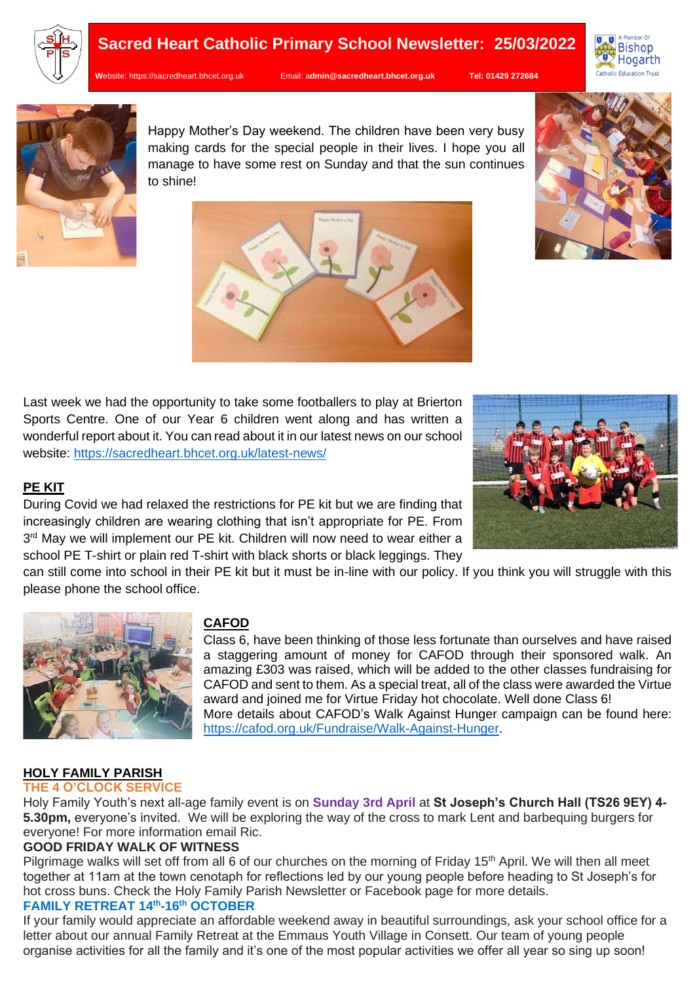

# **Sacred Heart Catholic Primary School Newsletter: 25/03/2022**

**W**ebsite: [https://sacredheart.bhcet.org.uk](https://sacredheart.bhcet.org.uk/) Email: a**[dmin@sacredheart.bhcet.org.uk](mailto:admin@sacredheart.bhcet.org.uk) Tel: 01429 272684**





Happy Mother's Day weekend. The children have been very busy making cards for the special people in their lives. I hope you all manage to have some rest on Sunday and that the sun continues to shine!



Last week we had the opportunity to take some footballers to play at Brierton Sports Centre. One of our Year 6 children went along and has written a wonderful report about it. You can read about it in our latest news on our school website:<https://sacredheart.bhcet.org.uk/latest-news/>



During Covid we had relaxed the restrictions for PE kit but we are finding that increasingly children are wearing clothing that isn't appropriate for PE. From 3<sup>rd</sup> May we will implement our PE kit. Children will now need to wear either a school PE T-shirt or plain red T-shirt with black shorts or black leggings. They



can still come into school in their PE kit but it must be in-line with our policy. If you think you will struggle with this please phone the school office.



# **CAFOD**

Class 6, have been thinking of those less fortunate than ourselves and have raised a staggering amount of money for CAFOD through their sponsored walk. An amazing £303 was raised, which will be added to the other classes fundraising for CAFOD and sent to them. As a special treat, all of the class were awarded the Virtue award and joined me for Virtue Friday hot chocolate. Well done Class 6! More details about CAFOD's Walk Against Hunger campaign can be found here: [https://cafod.org.uk/Fundraise/Walk-Against-Hunger.](https://cafod.org.uk/Fundraise/Walk-Against-Hunger)

# **HOLY FAMILY PARISH**

#### **THE 4 O'CLOCK SERVICE**

Holy Family Youth's next all-age family event is on **Sunday 3rd April** at **St Joseph's Church Hall (TS26 9EY) 4- 5.30pm,** everyone's invited. We will be exploring the way of the cross to mark Lent and barbequing burgers for everyone! For more information email Ric.

# **GOOD FRIDAY WALK OF WITNESS**

Pilgrimage walks will set off from all 6 of our churches on the morning of Friday 15<sup>th</sup> April. We will then all meet together at 11am at the town cenotaph for reflections led by our young people before heading to St Joseph's for hot cross buns. Check the Holy Family Parish Newsletter or Facebook page for more details.

# **FAMILY RETREAT 14th -16th OCTOBER**

If your family would appreciate an affordable weekend away in beautiful surroundings, ask your school office for a letter about our annual Family Retreat at the Emmaus Youth Village in Consett. Our team of young people organise activities for all the family and it's one of the most popular activities we offer all year so sing up soon!

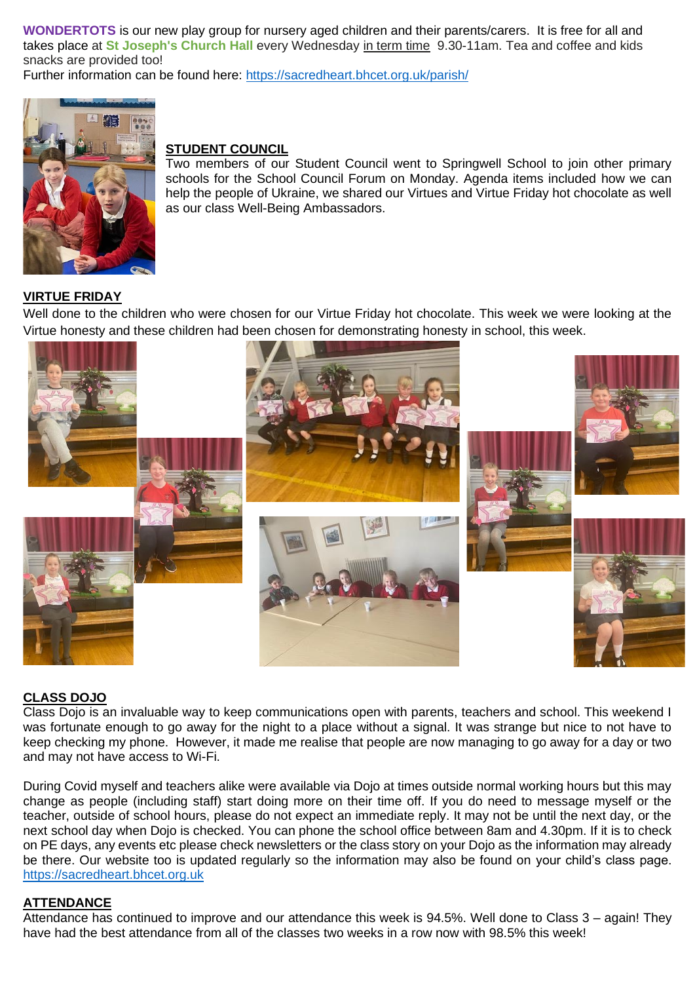**WONDERTOTS** is our new play group for nursery aged children and their parents/carers. It is free for all and takes place at **St Joseph's Church Hall** every Wednesday in term time 9.30-11am. Tea and coffee and kids snacks are provided too!

Further information can be found here:<https://sacredheart.bhcet.org.uk/parish/>



#### **STUDENT COUNCIL**

Two members of our Student Council went to Springwell School to join other primary schools for the School Council Forum on Monday. Agenda items included how we can help the people of Ukraine, we shared our Virtues and Virtue Friday hot chocolate as well as our class Well-Being Ambassadors.

#### **VIRTUE FRIDAY**

Well done to the children who were chosen for our Virtue Friday hot chocolate. This week we were looking at the Virtue honesty and these children had been chosen for demonstrating honesty in school, this week.



#### **CLASS DOJO**

Class Dojo is an invaluable way to keep communications open with parents, teachers and school. This weekend I was fortunate enough to go away for the night to a place without a signal. It was strange but nice to not have to keep checking my phone. However, it made me realise that people are now managing to go away for a day or two and may not have access to Wi-Fi.

During Covid myself and teachers alike were available via Dojo at times outside normal working hours but this may change as people (including staff) start doing more on their time off. If you do need to message myself or the teacher, outside of school hours, please do not expect an immediate reply. It may not be until the next day, or the next school day when Dojo is checked. You can phone the school office between 8am and 4.30pm. If it is to check on PE days, any events etc please check newsletters or the class story on your Dojo as the information may already be there. Our website too is updated regularly so the information may also be found on your child's class page. [https://sacredheart.bhcet.org.uk](https://sacredheart.bhcet.org.uk/)

#### **ATTENDANCE**

Attendance has continued to improve and our attendance this week is 94.5%. Well done to Class 3 – again! They have had the best attendance from all of the classes two weeks in a row now with 98.5% this week!